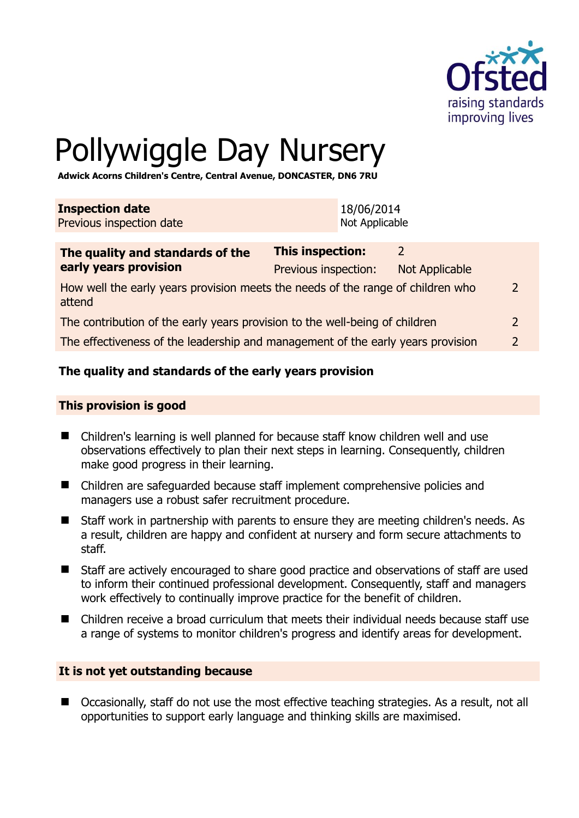

# Pollywiggle Day Nursery

**Adwick Acorns Children's Centre, Central Avenue, DONCASTER, DN6 7RU** 

| <b>Inspection date</b>   | 18/06/2014     |
|--------------------------|----------------|
| Previous inspection date | Not Applicable |

| The quality and standards of the                                                          | <b>This inspection:</b> | $\mathcal{P}$  |               |
|-------------------------------------------------------------------------------------------|-------------------------|----------------|---------------|
| early years provision                                                                     | Previous inspection:    | Not Applicable |               |
| How well the early years provision meets the needs of the range of children who<br>attend |                         |                |               |
| The contribution of the early years provision to the well-being of children               |                         |                |               |
| The effectiveness of the leadership and management of the early years provision           |                         |                | $\mathcal{P}$ |
|                                                                                           |                         |                |               |

# **The quality and standards of the early years provision**

#### **This provision is good**

- Children's learning is well planned for because staff know children well and use observations effectively to plan their next steps in learning. Consequently, children make good progress in their learning.
- Children are safeguarded because staff implement comprehensive policies and managers use a robust safer recruitment procedure.
- Staff work in partnership with parents to ensure they are meeting children's needs. As a result, children are happy and confident at nursery and form secure attachments to staff.
- Staff are actively encouraged to share good practice and observations of staff are used to inform their continued professional development. Consequently, staff and managers work effectively to continually improve practice for the benefit of children.
- Children receive a broad curriculum that meets their individual needs because staff use a range of systems to monitor children's progress and identify areas for development.

#### **It is not yet outstanding because**

■ Occasionally, staff do not use the most effective teaching strategies. As a result, not all opportunities to support early language and thinking skills are maximised.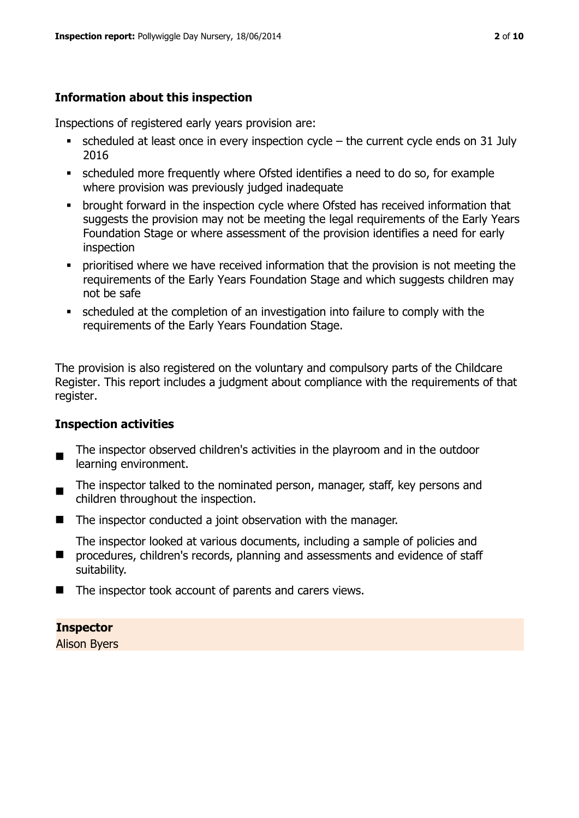# **Information about this inspection**

Inspections of registered early years provision are:

- scheduled at least once in every inspection cycle the current cycle ends on 31 July 2016
- scheduled more frequently where Ofsted identifies a need to do so, for example where provision was previously judged inadequate
- **•** brought forward in the inspection cycle where Ofsted has received information that suggests the provision may not be meeting the legal requirements of the Early Years Foundation Stage or where assessment of the provision identifies a need for early inspection
- **•** prioritised where we have received information that the provision is not meeting the requirements of the Early Years Foundation Stage and which suggests children may not be safe
- scheduled at the completion of an investigation into failure to comply with the requirements of the Early Years Foundation Stage.

The provision is also registered on the voluntary and compulsory parts of the Childcare Register. This report includes a judgment about compliance with the requirements of that register.

# **Inspection activities**

- п The inspector observed children's activities in the playroom and in the outdoor learning environment.
- The inspector talked to the nominated person, manager, staff, key persons and children throughout the inspection.
- The inspector conducted a joint observation with the manager.
- **P** procedures, children's records, planning and assessments and evidence of staff The inspector looked at various documents, including a sample of policies and suitability.
- The inspector took account of parents and carers views.

# **Inspector**

Alison Byers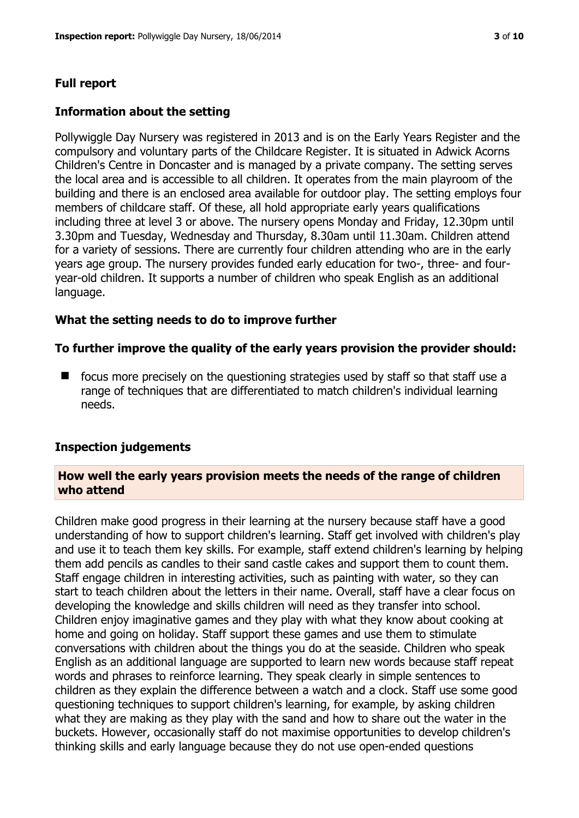# **Full report**

## **Information about the setting**

Pollywiggle Day Nursery was registered in 2013 and is on the Early Years Register and the compulsory and voluntary parts of the Childcare Register. It is situated in Adwick Acorns Children's Centre in Doncaster and is managed by a private company. The setting serves the local area and is accessible to all children. It operates from the main playroom of the building and there is an enclosed area available for outdoor play. The setting employs four members of childcare staff. Of these, all hold appropriate early years qualifications including three at level 3 or above. The nursery opens Monday and Friday, 12.30pm until 3.30pm and Tuesday, Wednesday and Thursday, 8.30am until 11.30am. Children attend for a variety of sessions. There are currently four children attending who are in the early years age group. The nursery provides funded early education for two-, three- and fouryear-old children. It supports a number of children who speak English as an additional language.

#### **What the setting needs to do to improve further**

#### **To further improve the quality of the early years provision the provider should:**

 $\blacksquare$  focus more precisely on the questioning strategies used by staff so that staff use a range of techniques that are differentiated to match children's individual learning needs.

#### **Inspection judgements**

#### **How well the early years provision meets the needs of the range of children who attend**

Children make good progress in their learning at the nursery because staff have a good understanding of how to support children's learning. Staff get involved with children's play and use it to teach them key skills. For example, staff extend children's learning by helping them add pencils as candles to their sand castle cakes and support them to count them. Staff engage children in interesting activities, such as painting with water, so they can start to teach children about the letters in their name. Overall, staff have a clear focus on developing the knowledge and skills children will need as they transfer into school. Children enjoy imaginative games and they play with what they know about cooking at home and going on holiday. Staff support these games and use them to stimulate conversations with children about the things you do at the seaside. Children who speak English as an additional language are supported to learn new words because staff repeat words and phrases to reinforce learning. They speak clearly in simple sentences to children as they explain the difference between a watch and a clock. Staff use some good questioning techniques to support children's learning, for example, by asking children what they are making as they play with the sand and how to share out the water in the buckets. However, occasionally staff do not maximise opportunities to develop children's thinking skills and early language because they do not use open-ended questions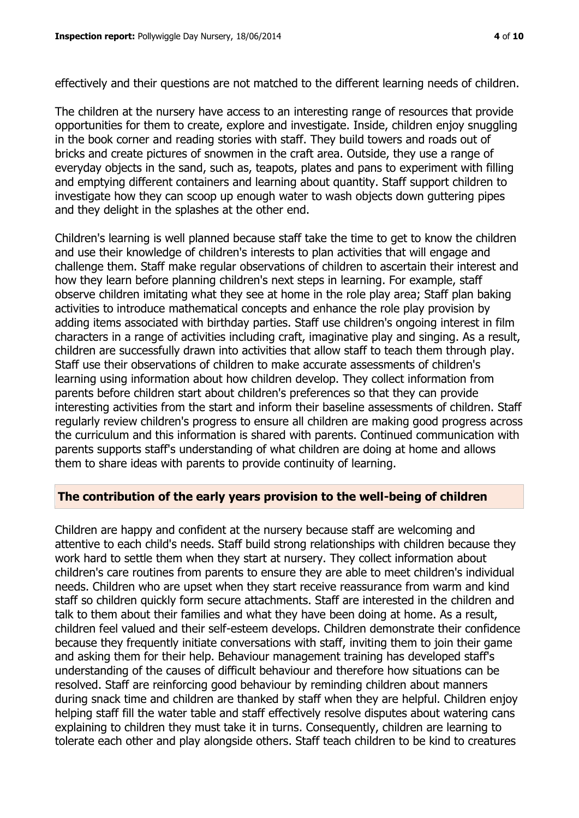The children at the nursery have access to an interesting range of resources that provide opportunities for them to create, explore and investigate. Inside, children enjoy snuggling in the book corner and reading stories with staff. They build towers and roads out of bricks and create pictures of snowmen in the craft area. Outside, they use a range of everyday objects in the sand, such as, teapots, plates and pans to experiment with filling and emptying different containers and learning about quantity. Staff support children to investigate how they can scoop up enough water to wash objects down guttering pipes and they delight in the splashes at the other end.

Children's learning is well planned because staff take the time to get to know the children and use their knowledge of children's interests to plan activities that will engage and challenge them. Staff make regular observations of children to ascertain their interest and how they learn before planning children's next steps in learning. For example, staff observe children imitating what they see at home in the role play area; Staff plan baking activities to introduce mathematical concepts and enhance the role play provision by adding items associated with birthday parties. Staff use children's ongoing interest in film characters in a range of activities including craft, imaginative play and singing. As a result, children are successfully drawn into activities that allow staff to teach them through play. Staff use their observations of children to make accurate assessments of children's learning using information about how children develop. They collect information from parents before children start about children's preferences so that they can provide interesting activities from the start and inform their baseline assessments of children. Staff regularly review children's progress to ensure all children are making good progress across the curriculum and this information is shared with parents. Continued communication with parents supports staff's understanding of what children are doing at home and allows them to share ideas with parents to provide continuity of learning.

# **The contribution of the early years provision to the well-being of children**

Children are happy and confident at the nursery because staff are welcoming and attentive to each child's needs. Staff build strong relationships with children because they work hard to settle them when they start at nursery. They collect information about children's care routines from parents to ensure they are able to meet children's individual needs. Children who are upset when they start receive reassurance from warm and kind staff so children quickly form secure attachments. Staff are interested in the children and talk to them about their families and what they have been doing at home. As a result, children feel valued and their self-esteem develops. Children demonstrate their confidence because they frequently initiate conversations with staff, inviting them to join their game and asking them for their help. Behaviour management training has developed staff's understanding of the causes of difficult behaviour and therefore how situations can be resolved. Staff are reinforcing good behaviour by reminding children about manners during snack time and children are thanked by staff when they are helpful. Children enjoy helping staff fill the water table and staff effectively resolve disputes about watering cans explaining to children they must take it in turns. Consequently, children are learning to tolerate each other and play alongside others. Staff teach children to be kind to creatures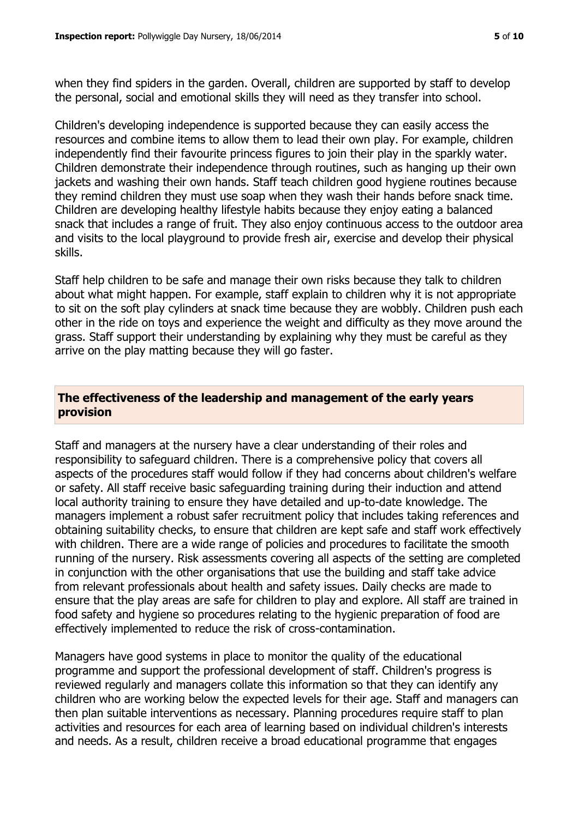when they find spiders in the garden. Overall, children are supported by staff to develop the personal, social and emotional skills they will need as they transfer into school.

Children's developing independence is supported because they can easily access the resources and combine items to allow them to lead their own play. For example, children independently find their favourite princess figures to join their play in the sparkly water. Children demonstrate their independence through routines, such as hanging up their own jackets and washing their own hands. Staff teach children good hygiene routines because they remind children they must use soap when they wash their hands before snack time. Children are developing healthy lifestyle habits because they enjoy eating a balanced snack that includes a range of fruit. They also enjoy continuous access to the outdoor area and visits to the local playground to provide fresh air, exercise and develop their physical skills.

Staff help children to be safe and manage their own risks because they talk to children about what might happen. For example, staff explain to children why it is not appropriate to sit on the soft play cylinders at snack time because they are wobbly. Children push each other in the ride on toys and experience the weight and difficulty as they move around the grass. Staff support their understanding by explaining why they must be careful as they arrive on the play matting because they will go faster.

# **The effectiveness of the leadership and management of the early years provision**

Staff and managers at the nursery have a clear understanding of their roles and responsibility to safeguard children. There is a comprehensive policy that covers all aspects of the procedures staff would follow if they had concerns about children's welfare or safety. All staff receive basic safeguarding training during their induction and attend local authority training to ensure they have detailed and up-to-date knowledge. The managers implement a robust safer recruitment policy that includes taking references and obtaining suitability checks, to ensure that children are kept safe and staff work effectively with children. There are a wide range of policies and procedures to facilitate the smooth running of the nursery. Risk assessments covering all aspects of the setting are completed in conjunction with the other organisations that use the building and staff take advice from relevant professionals about health and safety issues. Daily checks are made to ensure that the play areas are safe for children to play and explore. All staff are trained in food safety and hygiene so procedures relating to the hygienic preparation of food are effectively implemented to reduce the risk of cross-contamination.

Managers have good systems in place to monitor the quality of the educational programme and support the professional development of staff. Children's progress is reviewed regularly and managers collate this information so that they can identify any children who are working below the expected levels for their age. Staff and managers can then plan suitable interventions as necessary. Planning procedures require staff to plan activities and resources for each area of learning based on individual children's interests and needs. As a result, children receive a broad educational programme that engages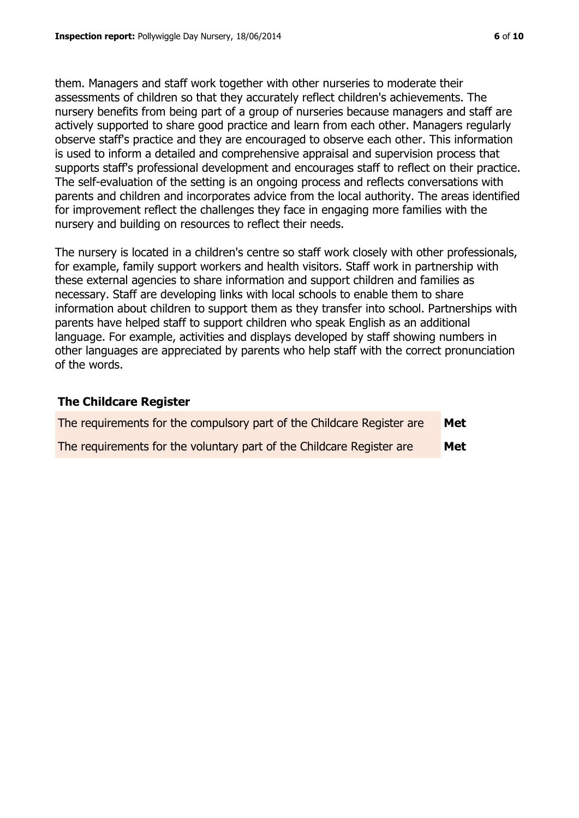them. Managers and staff work together with other nurseries to moderate their assessments of children so that they accurately reflect children's achievements. The nursery benefits from being part of a group of nurseries because managers and staff are actively supported to share good practice and learn from each other. Managers regularly observe staff's practice and they are encouraged to observe each other. This information is used to inform a detailed and comprehensive appraisal and supervision process that supports staff's professional development and encourages staff to reflect on their practice. The self-evaluation of the setting is an ongoing process and reflects conversations with parents and children and incorporates advice from the local authority. The areas identified for improvement reflect the challenges they face in engaging more families with the nursery and building on resources to reflect their needs.

The nursery is located in a children's centre so staff work closely with other professionals, for example, family support workers and health visitors. Staff work in partnership with these external agencies to share information and support children and families as necessary. Staff are developing links with local schools to enable them to share information about children to support them as they transfer into school. Partnerships with parents have helped staff to support children who speak English as an additional language. For example, activities and displays developed by staff showing numbers in other languages are appreciated by parents who help staff with the correct pronunciation of the words.

#### **The Childcare Register**

| The requirements for the compulsory part of the Childcare Register are | Met |
|------------------------------------------------------------------------|-----|
| The requirements for the voluntary part of the Childcare Register are  | Met |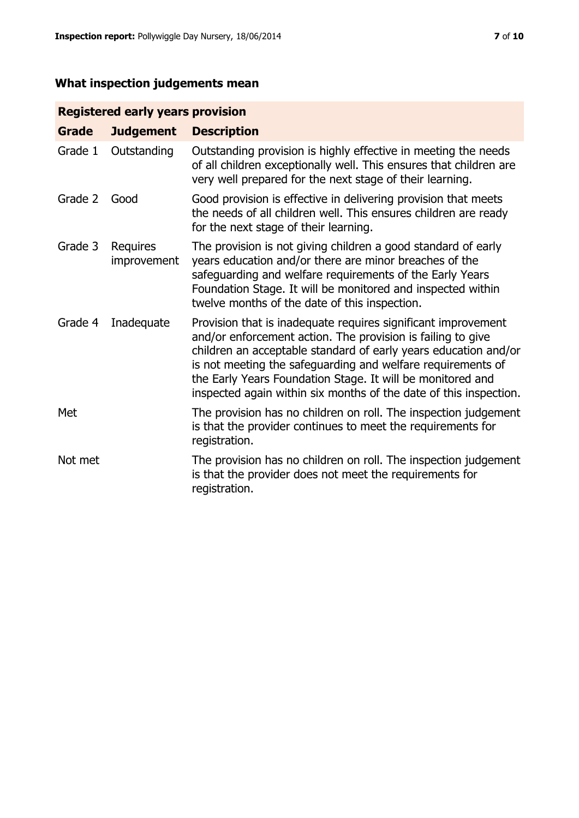# **What inspection judgements mean**

# **Registered early years provision**

| <b>Grade</b> | <b>Judgement</b>        | <b>Description</b>                                                                                                                                                                                                                                                                                                                                                                                |
|--------------|-------------------------|---------------------------------------------------------------------------------------------------------------------------------------------------------------------------------------------------------------------------------------------------------------------------------------------------------------------------------------------------------------------------------------------------|
| Grade 1      | Outstanding             | Outstanding provision is highly effective in meeting the needs<br>of all children exceptionally well. This ensures that children are<br>very well prepared for the next stage of their learning.                                                                                                                                                                                                  |
| Grade 2      | Good                    | Good provision is effective in delivering provision that meets<br>the needs of all children well. This ensures children are ready<br>for the next stage of their learning.                                                                                                                                                                                                                        |
| Grade 3      | Requires<br>improvement | The provision is not giving children a good standard of early<br>years education and/or there are minor breaches of the<br>safeguarding and welfare requirements of the Early Years<br>Foundation Stage. It will be monitored and inspected within<br>twelve months of the date of this inspection.                                                                                               |
| Grade 4      | Inadequate              | Provision that is inadequate requires significant improvement<br>and/or enforcement action. The provision is failing to give<br>children an acceptable standard of early years education and/or<br>is not meeting the safeguarding and welfare requirements of<br>the Early Years Foundation Stage. It will be monitored and<br>inspected again within six months of the date of this inspection. |
| Met          |                         | The provision has no children on roll. The inspection judgement<br>is that the provider continues to meet the requirements for<br>registration.                                                                                                                                                                                                                                                   |
| Not met      |                         | The provision has no children on roll. The inspection judgement<br>is that the provider does not meet the requirements for<br>registration.                                                                                                                                                                                                                                                       |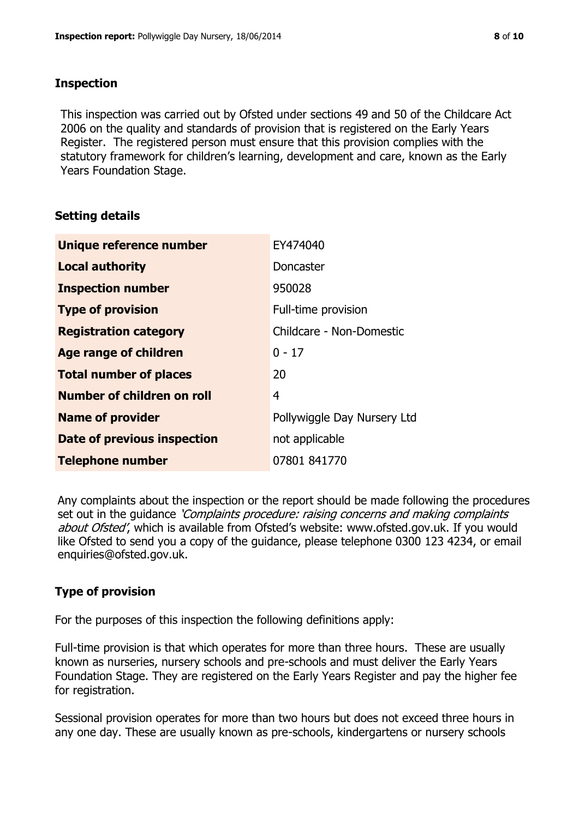#### **Inspection**

This inspection was carried out by Ofsted under sections 49 and 50 of the Childcare Act 2006 on the quality and standards of provision that is registered on the Early Years Register. The registered person must ensure that this provision complies with the statutory framework for children's learning, development and care, known as the Early Years Foundation Stage.

# **Setting details**

| Unique reference number       | EY474040                    |
|-------------------------------|-----------------------------|
| <b>Local authority</b>        | <b>Doncaster</b>            |
| <b>Inspection number</b>      | 950028                      |
| <b>Type of provision</b>      | Full-time provision         |
| <b>Registration category</b>  | Childcare - Non-Domestic    |
| <b>Age range of children</b>  | $0 - 17$                    |
| <b>Total number of places</b> | 20                          |
| Number of children on roll    | 4                           |
| <b>Name of provider</b>       | Pollywiggle Day Nursery Ltd |
| Date of previous inspection   | not applicable              |
| <b>Telephone number</b>       | 07801 841770                |

Any complaints about the inspection or the report should be made following the procedures set out in the guidance *'Complaints procedure: raising concerns and making complaints* about Ofsted', which is available from Ofsted's website: www.ofsted.gov.uk. If you would like Ofsted to send you a copy of the guidance, please telephone 0300 123 4234, or email enquiries@ofsted.gov.uk.

# **Type of provision**

For the purposes of this inspection the following definitions apply:

Full-time provision is that which operates for more than three hours. These are usually known as nurseries, nursery schools and pre-schools and must deliver the Early Years Foundation Stage. They are registered on the Early Years Register and pay the higher fee for registration.

Sessional provision operates for more than two hours but does not exceed three hours in any one day. These are usually known as pre-schools, kindergartens or nursery schools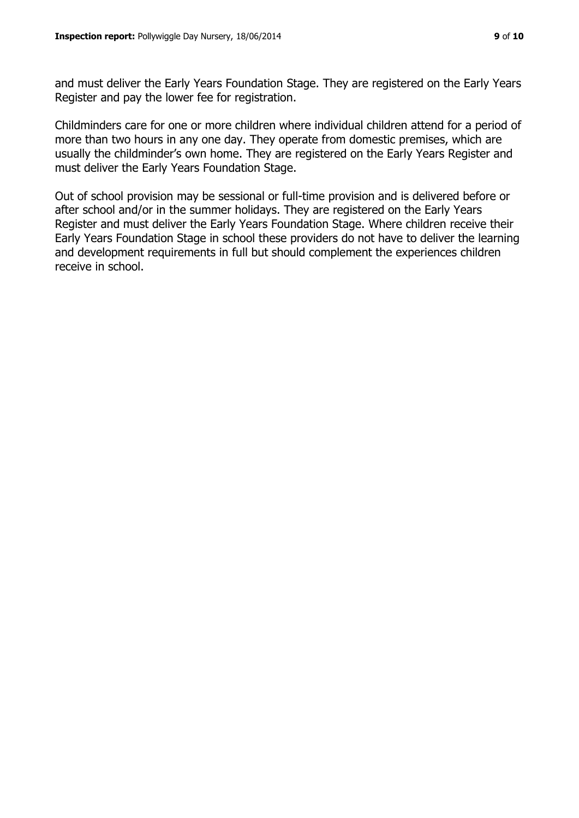and must deliver the Early Years Foundation Stage. They are registered on the Early Years Register and pay the lower fee for registration.

Childminders care for one or more children where individual children attend for a period of more than two hours in any one day. They operate from domestic premises, which are usually the childminder's own home. They are registered on the Early Years Register and must deliver the Early Years Foundation Stage.

Out of school provision may be sessional or full-time provision and is delivered before or after school and/or in the summer holidays. They are registered on the Early Years Register and must deliver the Early Years Foundation Stage. Where children receive their Early Years Foundation Stage in school these providers do not have to deliver the learning and development requirements in full but should complement the experiences children receive in school.